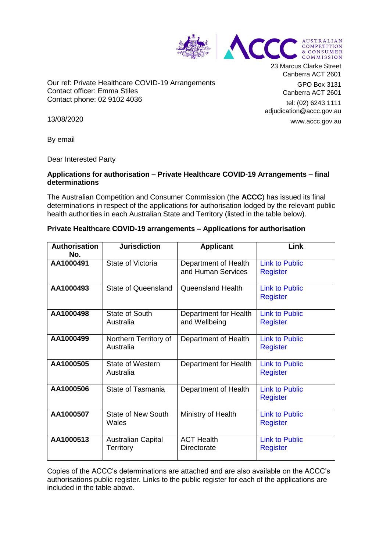

Our ref: Private Healthcare COVID-19 Arrangements Contact officer: Emma Stiles Contact phone: 02 9102 4036

23 Marcus Clarke Street Canberra ACT 2601

> GPO Box 3131 Canberra ACT 2601

tel: (02) 6243 1111 adjudication@accc.gov.au www.accc.gov.au

13/08/2020

By email

Dear Interested Party

## **Applications for authorisation – Private Healthcare COVID-19 Arrangements – final determinations**

The Australian Competition and Consumer Commission (the **ACCC**) has issued its final determinations in respect of the applications for authorisation lodged by the relevant public health authorities in each Australian State and Territory (listed in the table below).

## **Private Healthcare COVID-19 arrangements – Applications for authorisation**

| <b>Authorisation</b><br>No. | <b>Jurisdiction</b>                    | <b>Applicant</b>                           | Link                                     |
|-----------------------------|----------------------------------------|--------------------------------------------|------------------------------------------|
| AA1000491                   | State of Victoria                      | Department of Health<br>and Human Services | <b>Link to Public</b><br><b>Register</b> |
| AA1000493                   | <b>State of Queensland</b>             | Queensland Health                          | <b>Link to Public</b><br><b>Register</b> |
| AA1000498                   | State of South<br>Australia            | Department for Health<br>and Wellbeing     | <b>Link to Public</b><br><b>Register</b> |
| AA1000499                   | Northern Territory of<br>Australia     | Department of Health                       | <b>Link to Public</b><br><b>Register</b> |
| AA1000505                   | State of Western<br>Australia          | Department for Health                      | <b>Link to Public</b><br><b>Register</b> |
| AA1000506                   | State of Tasmania                      | Department of Health                       | <b>Link to Public</b><br><b>Register</b> |
| AA1000507                   | <b>State of New South</b><br>Wales     | Ministry of Health                         | <b>Link to Public</b><br><b>Register</b> |
| AA1000513                   | <b>Australian Capital</b><br>Territory | <b>ACT Health</b><br>Directorate           | <b>Link to Public</b><br><b>Register</b> |

Copies of the ACCC's determinations are attached and are also available on the ACCC's authorisations public register. Links to the public register for each of the applications are included in the table above.